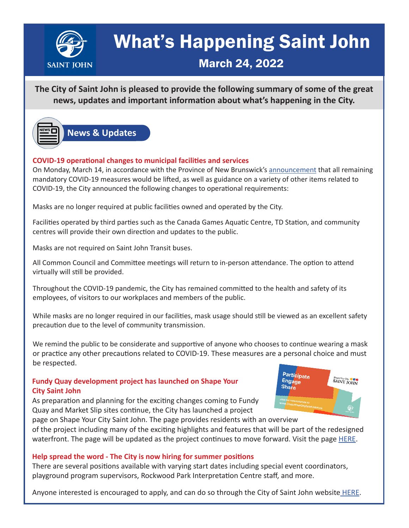

# What's Happening Saint John

## March 24, 2022

**The City of Saint John is pleased to provide the following summary of some of the great news, updates and important information about what's happening in the City.** 



#### **COVID-19 operational changes to municipal facilities and services**

On Monday, March 14, in accordance with the Province of New Brunswick's [announcement](https://www2.gnb.ca/content/gnb/en/news/news_release.2022.03.0129.html?fbclid=IwAR0ZI4TN1D0awHZwykSjRngmLIuHojpUXbzIyCH31AuZp5oBsH7Yx8luPHg) that all remaining mandatory COVID-19 measures would be lifted, as well as guidance on a variety of other items related to COVID-19, the City announced the following changes to operational requirements:

Masks are no longer required at public facilities owned and operated by the City.

Facilities operated by third parties such as the Canada Games Aquatic Centre, TD Station, and community centres will provide their own direction and updates to the public.

Masks are not required on Saint John Transit buses.

All Common Council and Committee meetings will return to in-person attendance. The option to attend virtually will still be provided.

Throughout the COVID-19 pandemic, the City has remained committed to the health and safety of its employees, of visitors to our workplaces and members of the public.

While masks are no longer required in our facilities, mask usage should still be viewed as an excellent safety precaution due to the level of community transmission.

We remind the public to be considerate and supportive of anyone who chooses to continue wearing a mask or practice any other precautions related to COVID-19. These measures are a personal choice and must be respected.

#### **Fundy Quay development project has launched on Shape Your City Saint John**

As preparation and planning for the exciting changes coming to Fundy Quay and Market Slip sites continue, the City has launched a project



page on Shape Your City Saint John. The page provides residents with an overview of the project including many of the exciting highlights and features that will be part of the redesigned waterfront. The page will be updated as the project continues to move forward. Visit the page **[HERE](https://shapeyourcitysaintjohn.ca/fundy-quay-development-project)**.

#### **Help spread the word - The City is now hiring for summer positions**

There are several positions available with varying start dates including special event coordinators, playground program supervisors, Rockwood Park Interpretation Centre staff, and more.

Anyone interested is encouraged to apply, and can do so through the City of Saint John website [HERE](https://saintjohn.njoyn.com/CL2/xweb/Xweb.asp?tbtoken=YF9fQxsXCGl7ZncDTVYgCFM6chVEcCVYA0ggJ1sOE2xaX0QYX0AaexFxBwkbURRRSnEqWA%3D%3D&chk=ZVpaShw%3D&CLID=51331&page=joblisting&lang=1).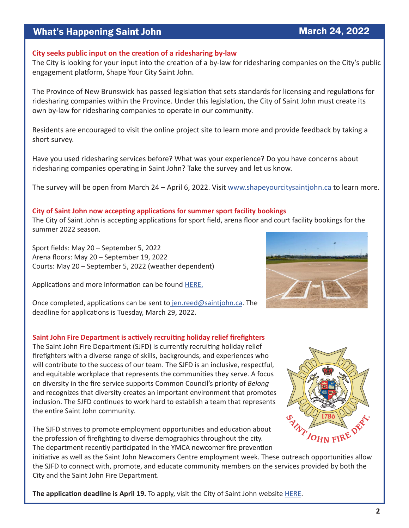#### **City seeks public input on the creation of a ridesharing by-law**

The City is looking for your input into the creation of a by-law for ridesharing companies on the City's public engagement platform, Shape Your City Saint John.

The Province of New Brunswick has passed legislation that sets standards for licensing and regulations for ridesharing companies within the Province. Under this legislation, the City of Saint John must create its own by-law for ridesharing companies to operate in our community.

Residents are encouraged to visit the online project site to learn more and provide feedback by taking a short survey.

Have you used ridesharing services before? What was your experience? Do you have concerns about ridesharing companies operating in Saint John? Take the survey and let us know.

The survey will be open from March 24 – April 6, 2022. Visit [www.shapeyourcitysaintjohn.ca](https://shapeyourcitysaintjohn.ca/ride-share) to learn more.

#### **City of Saint John now accepting applications for summer sport facility bookings**

The City of Saint John is accepting applications for sport field, arena floor and court facility bookings for the summer 2022 season.

Sport fields: May 20 – September 5, 2022 Arena floors: May 20 – September 19, 2022 Courts: May 20 – September 5, 2022 (weather dependent)

Applications and more information can be found [HER](https://saintjohn.ca/en/news-and-notices/city-saint-john-now-accepting-applications-summer-sport-facility-bookings)E.

Once completed, applications can be sent to [jen.reed@saintjohn.ca.](mailto:%20jen.reed%40saintjohn.ca?subject=) The deadline for applications is Tuesday, March 29, 2022.

#### **Saint John Fire Department is actively recruiting holiday relief firefighters**

The Saint John Fire Department (SJFD) is currently recruiting holiday relief firefighters with a diverse range of skills, backgrounds, and experiences who will contribute to the success of our team. The SJFD is an inclusive, respectful, and equitable workplace that represents the communities they serve. A focus on diversity in the fire service supports Common Council's priority of *Belong* and recognizes that diversity creates an important environment that promotes inclusion. The SJFD continues to work hard to establish a team that represents the entire Saint John community.

The SJFD strives to promote employment opportunities and education about the profession of firefighting to diverse demographics throughout the city. The department recently participated in the YMCA newcomer fire prevention

initiative as well as the Saint John Newcomers Centre employment week. These outreach opportunities allow the SJFD to connect with, promote, and educate community members on the services provided by both the City and the Saint John Fire Department.

**The application deadline is April 19.** To apply, visit the City of Saint John website [HERE](https://client.njoyn.com/CL2/xweb/xweb.asp?clid=51331&page=jobdetails&jobid=J0222-1064&BRID=EX307225&SBDID=1&LANG=1).



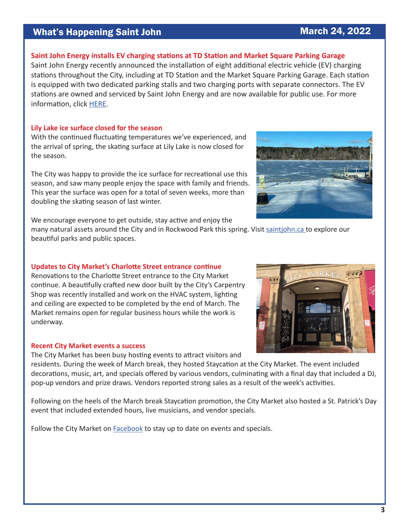#### **Saint John Energy installs EV charging stations at TD Station and Market Square Parking Garage**

Saint John Energy recently announced the installation of eight additional electric vehicle (EV) charging stations throughout the City, including at TD Station and the Market Square Parking Garage. Each station is equipped with two dedicated parking stalls and two charging ports with separate connectors. The EV stations are owned and serviced by Saint John Energy and are now available for public use. For more information, click [HERE](https://sje-corp-site.cdn.prismic.io/sje-corp-site/6e1920db-f58f-4dfc-8e99-0a5de808c623_SJE+EV+Charger+Media+Release+March+9+2022+FINAL.pdf).

#### **Lily Lake ice surface closed for the season**

With the continued fluctuating temperatures we've experienced, and the arrival of spring, the skating surface at Lily Lake is now closed for the season.

The City was happy to provide the ice surface for recreational use this season, and saw many people enjoy the space with family and friends. This year the surface was open for a total of seven weeks, more than doubling the skating season of last winter.

We encourage everyone to get outside, stay active and enjoy the

many natural assets around the City and in Rockwood Park this spring. Visit [saintjohn.ca t](http://saintjohn.ca https://saintjohn.ca/en/parks-and-recreation/parks-and-trails)o explore our beautiful parks and public spaces.

#### **Updates to City Market's Charlotte Street entrance continue**

Renovations to the Charlotte Street entrance to the City Market continue. A beautifully crafted new door built by the City's Carpentry Shop was recently installed and work on the HVAC system, lighting and ceiling are expected to be completed by the end of March. The Market remains open for regular business hours while the work is underway.

#### **Recent City Market events a success**

The City Market has been busy hosting events to attract visitors and

residents. During the week of March break, they hosted Staycation at the City Market. The event included decorations, music, art, and specials offered by various vendors, culminating with a final day that included a DJ, pop-up vendors and prize draws. Vendors reported strong sales as a result of the week's activities.

Following on the heels of the March break Staycation promotion, the City Market also hosted a St. Patrick's Day event that included extended hours, live musicians, and vendor specials.

Follow the City Market on [Facebook](https://www.facebook.com/sjcitymarket/) to stay up to date on events and specials.





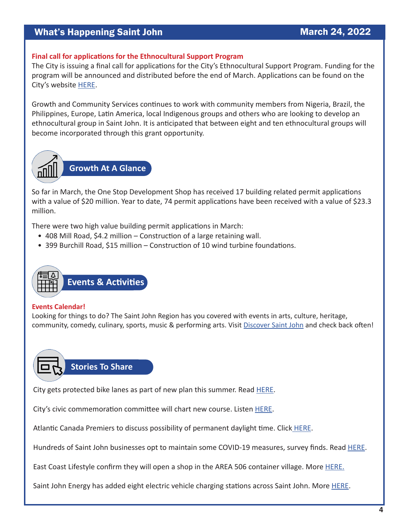#### **Final call for applications for the Ethnocultural Support Program**

The City is issuing a final call for applications for the City's Ethnocultural Support Program. Funding for the program will be announced and distributed before the end of March. Applications can be found on the City's website [HERE](https://saintjohn.ca/en/community/ethnocultural-support-program-application).

Growth and Community Services continues to work with community members from Nigeria, Brazil, the Philippines, Europe, Latin America, local Indigenous groups and others who are looking to develop an ethnocultural group in Saint John. It is anticipated that between eight and ten ethnocultural groups will become incorporated through this grant opportunity.



So far in March, the One Stop Development Shop has received 17 building related permit applications with a value of \$20 million. Year to date, 74 permit applications have been received with a value of \$23.3 million.

There were two high value building permit applications in March:

- 408 Mill Road, \$4.2 million Construction of a large retaining wall.
- 399 Burchill Road, \$15 million Construction of 10 wind turbine foundations.



## **Events & Activities**

#### **Events Calendar!**

Looking for things to do? The Saint John Region has you covered with events in arts, culture, heritage, community, comedy, culinary, sports, music & performing arts. Visit [Discover Saint John](https://www.discoversaintjohn.com/) and check back often!



City gets protected bike lanes as part of new plan this summer. Read [HERE](https://www.cbc.ca/news/canada/new-brunswick/saint-john-cycling-plan-bike-lanes-1.6378243).

City's civic commemoration committee will chart new course. Listen [HERE](https://www.cbc.ca/listen/live-radio/1-28-information-morning-saint-john/clip/15901155-citys-civic-commemoration-committee-chart-course).

Atlantic Canada Premiers to discuss possibility of permanent daylight time. Click [HERE](https://atlantic.ctvnews.ca/atlantic-canada-premiers-to-discuss-possibility-of-permanent-daylight-time-1.5822649?cid=sm%3Atrueanthem%3Actvatlantic%3Atwitterpost&taid=623314d221eb7e00019d077f&utm_campaign=trueAnthem%3A+Trending+Content&utm_medium=trueAnthem&utm_source=twitter).

Hundreds of Saint John businesses opt to maintain some COVID-19 measures, survey finds. Read **[HERE](https://www.cbc.ca/news/canada/new-brunswick/saint-john-businesses-covid-restrictions-chamber-commerce-poll-1.6388278)**.

East Coast Lifestyle confirm they will open a shop in the AREA 506 container village. More [HERE.](https://www.charlottefm.ca/2022/03/03/permanent-vendor-village-taking-shape-on-water-street/)

Saint John Energy has added eight electric vehicle charging stations across Saint John. More **[HERE](https://www.cbc.ca/news/canada/new-brunswick/saint-john-energy-electric-vehicle-charging-station-1.6384118)**.